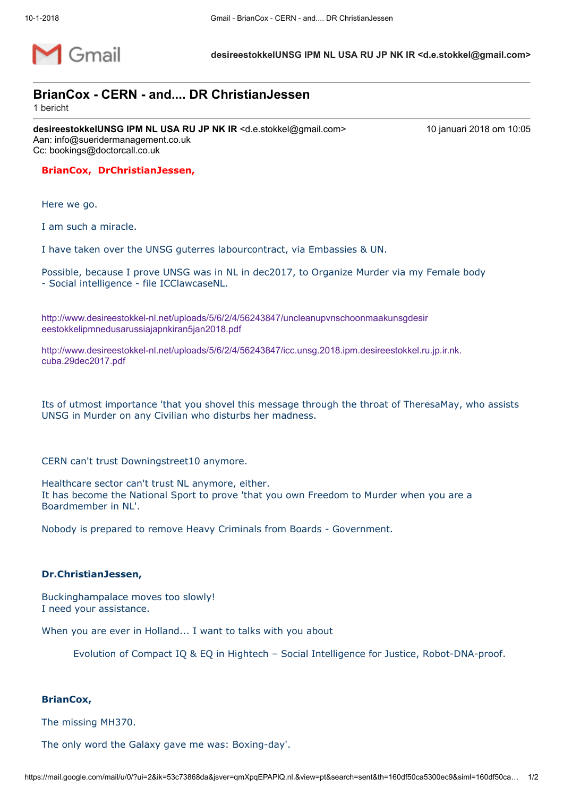

desireestokkelUNSG IPM NL USA RU JP NK IR <d.e.stokkel@gmail.com>

## BrianCox - CERN - and.... DR ChristianJessen

1 bericht

desireestokkelUNSG IPM NL USA RU JP NK IR <d.e.stokkel@gmail.com>
10 januari 2018 om 10:05 Aan: info@sueridermanagement.co.uk Cc: bookings@doctorcall.co.uk

## BrianCox, DrChristianJessen,

Here we go.

I am such a miracle.

I have taken over the UNSG guterres labourcontract, via Embassies & UN.

Possible, because I prove UNSG was in NL in dec2017, to Organize Murder via my Female body - Social intelligence - file ICClawcaseNL.

[http://www.desireestokkel-nl.net/uploads/5/6/2/4/56243847/uncleanupvnschoonmaakunsgdesir](http://www.desireestokkel-nl.net/uploads/5/6/2/4/56243847/uncleanupvnschoonmaakunsgdesireestokkelipmnedusarussiajapnkiran5jan2018.pdf) eestokkelipmnedusarussiajapnkiran5jan2018.pdf

[http://www.desireestokkel-nl.net/uploads/5/6/2/4/56243847/icc.unsg.2018.ipm.desireestokkel.ru.jp.ir.nk.](http://www.desireestokkel-nl.net/uploads/5/6/2/4/56243847/icc.unsg.2018.ipm.desireestokkel.ru.jp.ir.nk.cuba.29dec2017.pdf) cuba.29dec2017.pdf

Its of utmost importance 'that you shovel this message through the throat of TheresaMay, who assists UNSG in Murder on any Civilian who disturbs her madness.

CERN can't trust Downingstreet10 anymore.

Healthcare sector can't trust NL anymore, either. It has become the National Sport to prove 'that you own Freedom to Murder when you are a Boardmember in NL'.

Nobody is prepared to remove Heavy Criminals from Boards - Government.

## Dr.ChristianJessen,

Buckinghampalace moves too slowly! I need your assistance.

When you are ever in Holland... I want to talks with you about

Evolution of Compact IQ & EQ in Hightech – Social Intelligence for Justice, Robot-DNA-proof.

## BrianCox,

The missing MH370.

The only word the Galaxy gave me was: Boxing-day'.